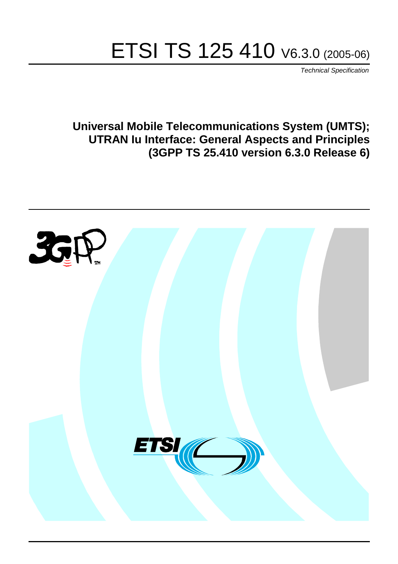# ETSI TS 125 410 V6.3.0 (2005-06)

Technical Specification

**Universal Mobile Telecommunications System (UMTS); UTRAN Iu Interface: General Aspects and Principles (3GPP TS 25.410 version 6.3.0 Release 6)**

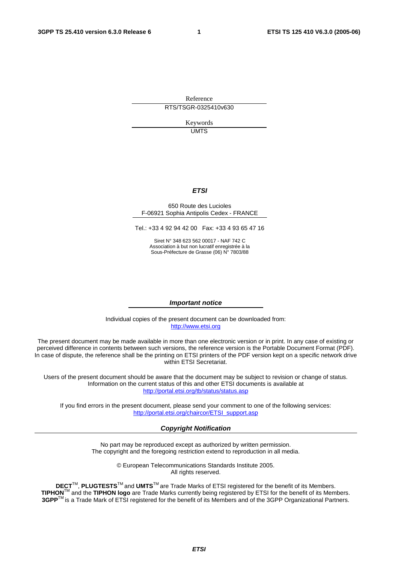Reference RTS/TSGR-0325410v630

> Keywords UMTS

#### **ETSI**

#### 650 Route des Lucioles F-06921 Sophia Antipolis Cedex - FRANCE

Tel.: +33 4 92 94 42 00 Fax: +33 4 93 65 47 16

Siret N° 348 623 562 00017 - NAF 742 C Association à but non lucratif enregistrée à la Sous-Préfecture de Grasse (06) N° 7803/88

#### **Important notice**

Individual copies of the present document can be downloaded from: [http://www.etsi.org](http://www.etsi.org/)

The present document may be made available in more than one electronic version or in print. In any case of existing or perceived difference in contents between such versions, the reference version is the Portable Document Format (PDF). In case of dispute, the reference shall be the printing on ETSI printers of the PDF version kept on a specific network drive within ETSI Secretariat.

Users of the present document should be aware that the document may be subject to revision or change of status. Information on the current status of this and other ETSI documents is available at <http://portal.etsi.org/tb/status/status.asp>

If you find errors in the present document, please send your comment to one of the following services: [http://portal.etsi.org/chaircor/ETSI\\_support.asp](http://portal.etsi.org/chaircor/ETSI_support.asp)

#### **Copyright Notification**

No part may be reproduced except as authorized by written permission. The copyright and the foregoing restriction extend to reproduction in all media.

> © European Telecommunications Standards Institute 2005. All rights reserved.

**DECT**TM, **PLUGTESTS**TM and **UMTS**TM are Trade Marks of ETSI registered for the benefit of its Members. **TIPHON**TM and the **TIPHON logo** are Trade Marks currently being registered by ETSI for the benefit of its Members. **3GPP**TM is a Trade Mark of ETSI registered for the benefit of its Members and of the 3GPP Organizational Partners.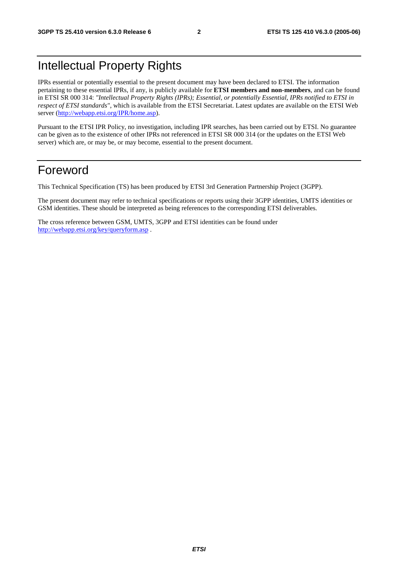## Intellectual Property Rights

IPRs essential or potentially essential to the present document may have been declared to ETSI. The information pertaining to these essential IPRs, if any, is publicly available for **ETSI members and non-members**, and can be found in ETSI SR 000 314: *"Intellectual Property Rights (IPRs); Essential, or potentially Essential, IPRs notified to ETSI in respect of ETSI standards"*, which is available from the ETSI Secretariat. Latest updates are available on the ETSI Web server ([http://webapp.etsi.org/IPR/home.asp\)](http://webapp.etsi.org/IPR/home.asp).

Pursuant to the ETSI IPR Policy, no investigation, including IPR searches, has been carried out by ETSI. No guarantee can be given as to the existence of other IPRs not referenced in ETSI SR 000 314 (or the updates on the ETSI Web server) which are, or may be, or may become, essential to the present document.

## Foreword

This Technical Specification (TS) has been produced by ETSI 3rd Generation Partnership Project (3GPP).

The present document may refer to technical specifications or reports using their 3GPP identities, UMTS identities or GSM identities. These should be interpreted as being references to the corresponding ETSI deliverables.

The cross reference between GSM, UMTS, 3GPP and ETSI identities can be found under <http://webapp.etsi.org/key/queryform.asp>.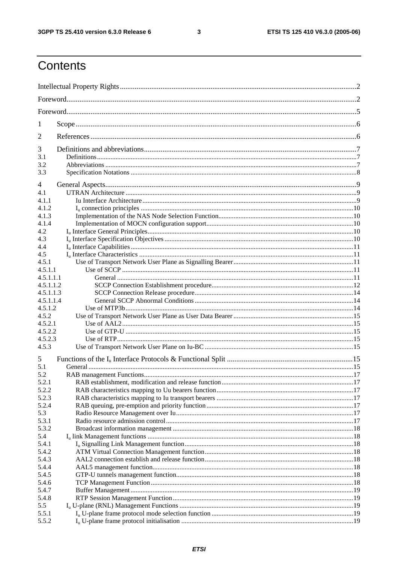$\mathbf{3}$ 

## Contents

| 1              |  |  |  |  |  |  |  |
|----------------|--|--|--|--|--|--|--|
| 2              |  |  |  |  |  |  |  |
| 3              |  |  |  |  |  |  |  |
| 3.1            |  |  |  |  |  |  |  |
| 3.2            |  |  |  |  |  |  |  |
| 3.3            |  |  |  |  |  |  |  |
| 4              |  |  |  |  |  |  |  |
| 4.1            |  |  |  |  |  |  |  |
| 4.1.1          |  |  |  |  |  |  |  |
| 4.1.2          |  |  |  |  |  |  |  |
| 4.1.3          |  |  |  |  |  |  |  |
| 4.1.4          |  |  |  |  |  |  |  |
| 4.2            |  |  |  |  |  |  |  |
| 4.3            |  |  |  |  |  |  |  |
| 4.4            |  |  |  |  |  |  |  |
| 4.5            |  |  |  |  |  |  |  |
| 4.5.1          |  |  |  |  |  |  |  |
| 4.5.1.1        |  |  |  |  |  |  |  |
| 4.5.1.1.1      |  |  |  |  |  |  |  |
| 4.5.1.1.2      |  |  |  |  |  |  |  |
| 4.5.1.1.3      |  |  |  |  |  |  |  |
| 4.5.1.1.4      |  |  |  |  |  |  |  |
| 4.5.1.2        |  |  |  |  |  |  |  |
| 4.5.2          |  |  |  |  |  |  |  |
| 4.5.2.1        |  |  |  |  |  |  |  |
| 4.5.2.2        |  |  |  |  |  |  |  |
| 4.5.2.3        |  |  |  |  |  |  |  |
| 4.5.3          |  |  |  |  |  |  |  |
| 5              |  |  |  |  |  |  |  |
| 5.1            |  |  |  |  |  |  |  |
| 5.2            |  |  |  |  |  |  |  |
| 5.2.1          |  |  |  |  |  |  |  |
| 5.2.2<br>5.2.3 |  |  |  |  |  |  |  |
| 5.2.4          |  |  |  |  |  |  |  |
| 5.3            |  |  |  |  |  |  |  |
| 5.3.1          |  |  |  |  |  |  |  |
| 5.3.2          |  |  |  |  |  |  |  |
| 5.4            |  |  |  |  |  |  |  |
| 5.4.1          |  |  |  |  |  |  |  |
| 5.4.2          |  |  |  |  |  |  |  |
| 5.4.3          |  |  |  |  |  |  |  |
| 5.4.4          |  |  |  |  |  |  |  |
| 5.4.5          |  |  |  |  |  |  |  |
| 5.4.6          |  |  |  |  |  |  |  |
| 5.4.7          |  |  |  |  |  |  |  |
| 5.4.8          |  |  |  |  |  |  |  |
| 5.5            |  |  |  |  |  |  |  |
| 5.5.1          |  |  |  |  |  |  |  |
| 5.5.2          |  |  |  |  |  |  |  |
|                |  |  |  |  |  |  |  |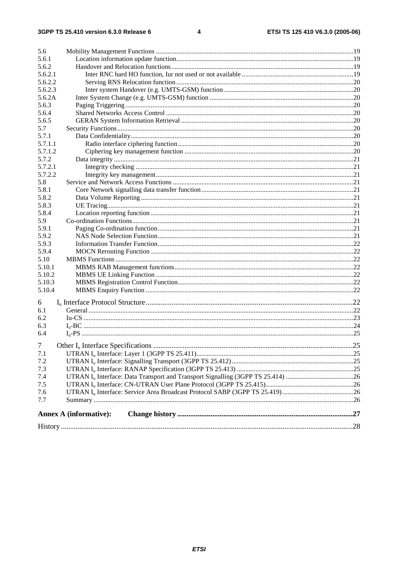| 5.6            |                               |  |  |  |  |  |  |  |
|----------------|-------------------------------|--|--|--|--|--|--|--|
| 5.6.1          |                               |  |  |  |  |  |  |  |
| 5.6.2          |                               |  |  |  |  |  |  |  |
| 5.6.2.1        |                               |  |  |  |  |  |  |  |
| 5.6.2.2        |                               |  |  |  |  |  |  |  |
| 5.6.2.3        |                               |  |  |  |  |  |  |  |
| 5.6.2A         |                               |  |  |  |  |  |  |  |
| 5.6.3          |                               |  |  |  |  |  |  |  |
| 5.6.4          |                               |  |  |  |  |  |  |  |
| 5.6.5          |                               |  |  |  |  |  |  |  |
| 5.7            |                               |  |  |  |  |  |  |  |
| 5.7.1          |                               |  |  |  |  |  |  |  |
| 5.7.1.1        |                               |  |  |  |  |  |  |  |
| 5.7.1.2        |                               |  |  |  |  |  |  |  |
| 5.7.2          |                               |  |  |  |  |  |  |  |
| 5.7.2.1        |                               |  |  |  |  |  |  |  |
| 5.7.2.2        |                               |  |  |  |  |  |  |  |
| 5.8            |                               |  |  |  |  |  |  |  |
| 5.8.1          |                               |  |  |  |  |  |  |  |
| 5.8.2          |                               |  |  |  |  |  |  |  |
| 5.8.3          |                               |  |  |  |  |  |  |  |
| 5.8.4          |                               |  |  |  |  |  |  |  |
| 5.9            |                               |  |  |  |  |  |  |  |
| 5.9.1          |                               |  |  |  |  |  |  |  |
| 5.9.2          |                               |  |  |  |  |  |  |  |
| 5.9.3          |                               |  |  |  |  |  |  |  |
| 5.9.4          |                               |  |  |  |  |  |  |  |
| 5.10           |                               |  |  |  |  |  |  |  |
| 5.10.1         |                               |  |  |  |  |  |  |  |
| 5.10.2         |                               |  |  |  |  |  |  |  |
| 5.10.3         |                               |  |  |  |  |  |  |  |
| 5.10.4         |                               |  |  |  |  |  |  |  |
|                |                               |  |  |  |  |  |  |  |
| 6              |                               |  |  |  |  |  |  |  |
| 6.1            |                               |  |  |  |  |  |  |  |
| 6.2            |                               |  |  |  |  |  |  |  |
| 6.3            |                               |  |  |  |  |  |  |  |
| 6.4            |                               |  |  |  |  |  |  |  |
| $\overline{7}$ |                               |  |  |  |  |  |  |  |
| 7.1            |                               |  |  |  |  |  |  |  |
| 7.2            |                               |  |  |  |  |  |  |  |
| 7.3            |                               |  |  |  |  |  |  |  |
| 7.4            |                               |  |  |  |  |  |  |  |
| 7.5            |                               |  |  |  |  |  |  |  |
| 7.6            |                               |  |  |  |  |  |  |  |
| 7.7            |                               |  |  |  |  |  |  |  |
|                |                               |  |  |  |  |  |  |  |
|                | <b>Annex A (informative):</b> |  |  |  |  |  |  |  |
|                |                               |  |  |  |  |  |  |  |
|                |                               |  |  |  |  |  |  |  |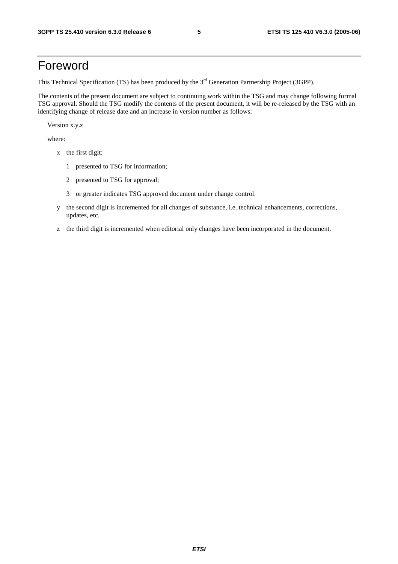## Foreword

This Technical Specification (TS) has been produced by the 3<sup>rd</sup> Generation Partnership Project (3GPP).

The contents of the present document are subject to continuing work within the TSG and may change following formal TSG approval. Should the TSG modify the contents of the present document, it will be re-released by the TSG with an identifying change of release date and an increase in version number as follows:

Version x.y.z

where:

- x the first digit:
	- 1 presented to TSG for information;
	- 2 presented to TSG for approval;
	- 3 or greater indicates TSG approved document under change control.
- y the second digit is incremented for all changes of substance, i.e. technical enhancements, corrections, updates, etc.
- z the third digit is incremented when editorial only changes have been incorporated in the document.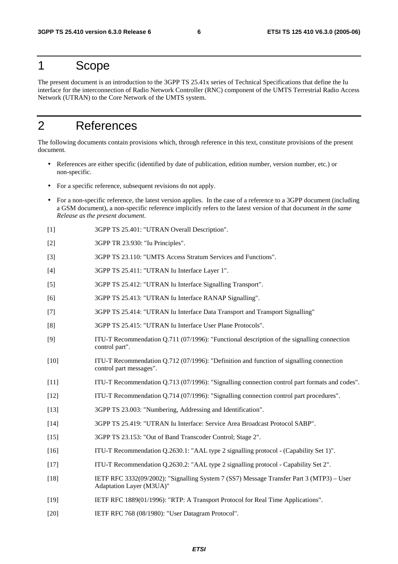### 1 Scope

The present document is an introduction to the 3GPP TS 25.41x series of Technical Specifications that define the Iu interface for the interconnection of Radio Network Controller (RNC) component of the UMTS Terrestrial Radio Access Network (UTRAN) to the Core Network of the UMTS system.

## 2 References

The following documents contain provisions which, through reference in this text, constitute provisions of the present document.

- References are either specific (identified by date of publication, edition number, version number, etc.) or non-specific.
- For a specific reference, subsequent revisions do not apply.
- For a non-specific reference, the latest version applies. In the case of a reference to a 3GPP document (including a GSM document), a non-specific reference implicitly refers to the latest version of that document *in the same Release as the present document*.
- [1] 3GPP TS 25.401: "UTRAN Overall Description".
- [2] 3GPP TR 23.930: "Iu Principles".
- [3] 3GPP TS 23.110: "UMTS Access Stratum Services and Functions".
- [4] 3GPP TS 25.411: "UTRAN Iu Interface Layer 1".
- [5] 3GPP TS 25.412: "UTRAN Iu Interface Signalling Transport".
- [6] 3GPP TS 25.413: "UTRAN Iu Interface RANAP Signalling".
- [7] 3GPP TS 25.414: "UTRAN Iu Interface Data Transport and Transport Signalling"
- [8] 3GPP TS 25.415: "UTRAN Iu Interface User Plane Protocols".
- [9] ITU-T Recommendation Q.711 (07/1996): "Functional description of the signalling connection control part".
- [10] ITU-T Recommendation Q.712 (07/1996): "Definition and function of signalling connection control part messages".
- [11] ITU-T Recommendation Q.713 (07/1996): "Signalling connection control part formats and codes".
- [12] ITU-T Recommendation Q.714 (07/1996): "Signalling connection control part procedures".
- [13] 3GPP TS 23.003: "Numbering, Addressing and Identification".
- [14] 3GPP TS 25.419: "UTRAN Iu Interface: Service Area Broadcast Protocol SABP".
- [15] 3GPP TS 23.153: "Out of Band Transcoder Control; Stage 2".
- [16] ITU-T Recommendation Q.2630.1: "AAL type 2 signalling protocol (Capability Set 1)".
- [17] ITU-T Recommendation Q.2630.2: "AAL type 2 signalling protocol Capability Set 2".
- [18] IETF RFC 3332(09/2002): "Signalling System 7 (SS7) Message Transfer Part 3 (MTP3) User Adaptation Layer (M3UA)"
- [19] IETF RFC 1889(01/1996): "RTP: A Transport Protocol for Real Time Applications".
- [20] IETF RFC 768 (08/1980): "User Datagram Protocol".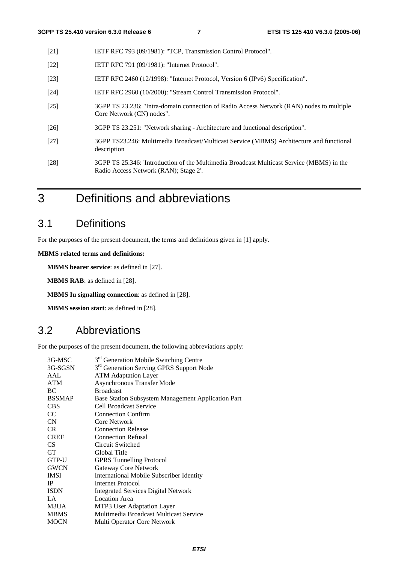- [21] IETF RFC 793 (09/1981): "TCP, Transmission Control Protocol".
- [22] **IETF RFC 791 (09/1981): "Internet Protocol".**
- [23] IETF RFC 2460 (12/1998): "Internet Protocol, Version 6 (IPv6) Specification".
- [24] IETF RFC 2960 (10/2000): "Stream Control Transmission Protocol".
- [25] 3GPP TS 23.236: "Intra-domain connection of Radio Access Network (RAN) nodes to multiple Core Network (CN) nodes".
- [26] 3GPP TS 23.251: "Network sharing Architecture and functional description".
- [27] 3GPP TS23.246: Multimedia Broadcast/Multicast Service (MBMS) Architecture and functional description
- [28] 3GPP TS 25.346: 'Introduction of the Multimedia Broadcast Multicast Service (MBMS) in the Radio Access Network (RAN); Stage 2'.
- 3 Definitions and abbreviations

### 3.1 Definitions

For the purposes of the present document, the terms and definitions given in [1] apply.

**MBMS related terms and definitions:** 

**MBMS bearer service**: as defined in [27].

**MBMS RAB**: as defined in [28].

**MBMS Iu signalling connection**: as defined in [28].

**MBMS session start**: as defined in [28].

### 3.2 Abbreviations

For the purposes of the present document, the following abbreviations apply:

| 3G-MSC          | 3 <sup>rd</sup> Generation Mobile Switching Centre   |
|-----------------|------------------------------------------------------|
| 3G-SGSN         | 3 <sup>rd</sup> Generation Serving GPRS Support Node |
| AAL             | <b>ATM Adaptation Layer</b>                          |
| <b>ATM</b>      | <b>Asynchronous Transfer Mode</b>                    |
| BC              | <b>Broadcast</b>                                     |
| <b>BSSMAP</b>   | Base Station Subsystem Management Application Part   |
| <b>CBS</b>      | Cell Broadcast Service                               |
| <sub>CC</sub>   | <b>Connection Confirm</b>                            |
| CN              | Core Network                                         |
| CR.             | <b>Connection Release</b>                            |
| <b>CREF</b>     | <b>Connection Refusal</b>                            |
| CS <sup>-</sup> | Circuit Switched                                     |
| <b>GT</b>       | Global Title                                         |
| GTP-U           | <b>GPRS Tunnelling Protocol</b>                      |
| <b>GWCN</b>     | <b>Gateway Core Network</b>                          |
| <b>IMSI</b>     | <b>International Mobile Subscriber Identity</b>      |
| <b>IP</b>       | Internet Protocol                                    |
| <b>ISDN</b>     | <b>Integrated Services Digital Network</b>           |
| LA              | <b>Location</b> Area                                 |
| M3UA            | MTP3 User Adaptation Layer                           |
| <b>MBMS</b>     | Multimedia Broadcast Multicast Service               |
| <b>MOCN</b>     | Multi Operator Core Network                          |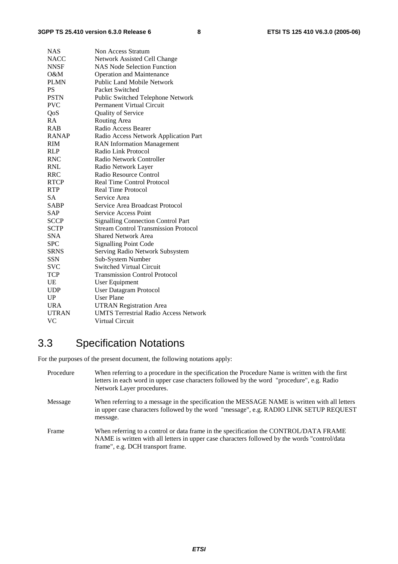| <b>NAS</b>   | Non Access Stratum                           |
|--------------|----------------------------------------------|
| <b>NACC</b>  | Network Assisted Cell Change                 |
| <b>NNSF</b>  | <b>NAS Node Selection Function</b>           |
| O&M          | <b>Operation and Maintenance</b>             |
| <b>PLMN</b>  | Public Land Mobile Network                   |
| <b>PS</b>    | Packet Switched                              |
| <b>PSTN</b>  | Public Switched Telephone Network            |
| <b>PVC</b>   | Permanent Virtual Circuit                    |
| QoS          | Quality of Service                           |
| RA           | Routing Area                                 |
| <b>RAB</b>   | Radio Access Bearer                          |
| <b>RANAP</b> | Radio Access Network Application Part        |
| <b>RIM</b>   | <b>RAN</b> Information Management            |
| RLP          | Radio Link Protocol                          |
| <b>RNC</b>   | Radio Network Controller                     |
| <b>RNL</b>   | Radio Network Layer                          |
| RRC          | Radio Resource Control                       |
| <b>RTCP</b>  | <b>Real Time Control Protocol</b>            |
| <b>RTP</b>   | <b>Real Time Protocol</b>                    |
| <b>SA</b>    | Service Area                                 |
| <b>SABP</b>  | Service Area Broadcast Protocol              |
| <b>SAP</b>   | <b>Service Access Point</b>                  |
| <b>SCCP</b>  | <b>Signalling Connection Control Part</b>    |
| <b>SCTP</b>  | <b>Stream Control Transmission Protocol</b>  |
| <b>SNA</b>   | <b>Shared Network Area</b>                   |
| <b>SPC</b>   | <b>Signalling Point Code</b>                 |
| <b>SRNS</b>  | Serving Radio Network Subsystem              |
| <b>SSN</b>   | Sub-System Number                            |
| SVC          | <b>Switched Virtual Circuit</b>              |
| <b>TCP</b>   | <b>Transmission Control Protocol</b>         |
| UE           | User Equipment                               |
| <b>UDP</b>   | User Datagram Protocol                       |
| UP           | <b>User Plane</b>                            |
| <b>URA</b>   | <b>UTRAN Registration Area</b>               |
| <b>UTRAN</b> | <b>UMTS Terrestrial Radio Access Network</b> |
| VC           | Virtual Circuit                              |

## 3.3 Specification Notations

For the purposes of the present document, the following notations apply:

| Procedure | When referring to a procedure in the specification the Procedure Name is written with the first<br>letters in each word in upper case characters followed by the word "procedure", e.g. Radio<br>Network Layer procedures.   |
|-----------|------------------------------------------------------------------------------------------------------------------------------------------------------------------------------------------------------------------------------|
| Message   | When referring to a message in the specification the MESSAGE NAME is written with all letters<br>in upper case characters followed by the word "message", e.g. RADIO LINK SETUP REQUEST<br>message.                          |
| Frame     | When referring to a control or data frame in the specification the CONTROL/DATA FRAME<br>NAME is written with all letters in upper case characters followed by the words "control/data"<br>frame", e.g. DCH transport frame. |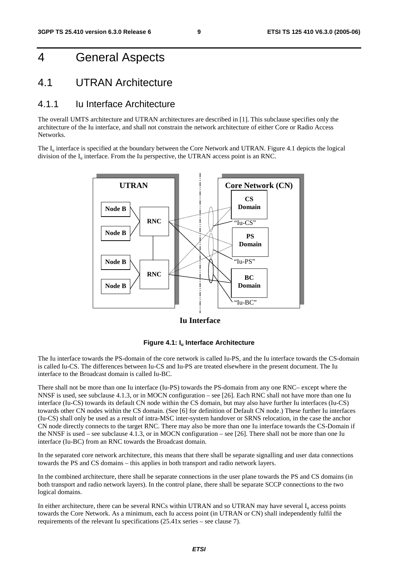## 4 General Aspects

### 4.1 UTRAN Architecture

#### 4.1.1 Iu Interface Architecture

The overall UMTS architecture and UTRAN architectures are described in [1]. This subclause specifies only the architecture of the Iu interface, and shall not constrain the network architecture of either Core or Radio Access Networks.

The  $I_{\text{u}}$  interface is specified at the boundary between the Core Network and UTRAN. Figure 4.1 depicts the logical division of the  $I_u$  interface. From the Iu perspective, the UTRAN access point is an RNC.



**Iu Interface**



The Iu interface towards the PS-domain of the core network is called Iu-PS, and the Iu interface towards the CS-domain is called Iu-CS. The differences between Iu-CS and Iu-PS are treated elsewhere in the present document. The Iu interface to the Broadcast domain is called Iu-BC.

There shall not be more than one Iu interface (Iu-PS) towards the PS-domain from any one RNC– except where the NNSF is used, see subclause 4.1.3, or in MOCN configuration – see [26]. Each RNC shall not have more than one Iu interface (Iu-CS) towards its default CN node within the CS domain, but may also have further Iu interfaces (Iu-CS) towards other CN nodes within the CS domain. (See [6] for definition of Default CN node.) These further Iu interfaces (Iu-CS) shall only be used as a result of intra-MSC inter-system handover or SRNS relocation, in the case the anchor CN node directly connects to the target RNC. There may also be more than one Iu interface towards the CS-Domain if the NNSF is used – see subclause 4.1.3, or in MOCN configuration – see [26]. There shall not be more than one Iu interface (Iu-BC) from an RNC towards the Broadcast domain.

In the separated core network architecture, this means that there shall be separate signalling and user data connections towards the PS and CS domains – this applies in both transport and radio network layers.

In the combined architecture, there shall be separate connections in the user plane towards the PS and CS domains (in both transport and radio network layers). In the control plane, there shall be separate SCCP connections to the two logical domains.

In either architecture, there can be several RNCs within UTRAN and so UTRAN may have several  $I<sub>u</sub>$  access points towards the Core Network. As a minimum, each Iu access point (in UTRAN or CN) shall independently fulfil the requirements of the relevant Iu specifications (25.41x series – see clause 7).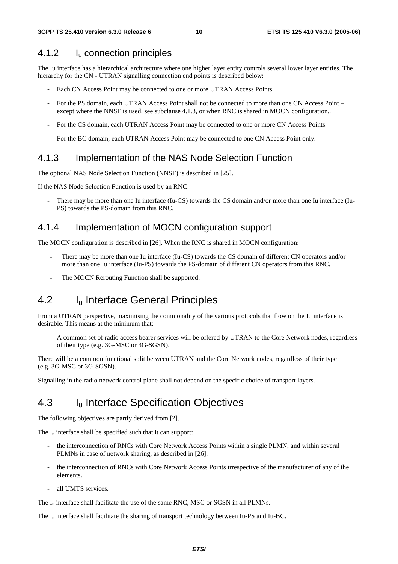#### 4.1.2 Iu connection principles

The Iu interface has a hierarchical architecture where one higher layer entity controls several lower layer entities. The hierarchy for the CN - UTRAN signalling connection end points is described below:

- Each CN Access Point may be connected to one or more UTRAN Access Points.
- For the PS domain, each UTRAN Access Point shall not be connected to more than one CN Access Point except where the NNSF is used, see subclause 4.1.3, or when RNC is shared in MOCN configuration..
- For the CS domain, each UTRAN Access Point may be connected to one or more CN Access Points.
- For the BC domain, each UTRAN Access Point may be connected to one CN Access Point only.

#### 4.1.3 Implementation of the NAS Node Selection Function

The optional NAS Node Selection Function (NNSF) is described in [25].

If the NAS Node Selection Function is used by an RNC:

There may be more than one Iu interface (Iu-CS) towards the CS domain and/or more than one Iu interface (Iu-PS) towards the PS-domain from this RNC.

#### 4.1.4 Implementation of MOCN configuration support

The MOCN configuration is described in [26]. When the RNC is shared in MOCN configuration:

- There may be more than one Iu interface (Iu-CS) towards the CS domain of different CN operators and/or more than one Iu interface (Iu-PS) towards the PS-domain of different CN operators from this RNC.
- The MOCN Rerouting Function shall be supported.

### 4.2 I<sub>u</sub> Interface General Principles

From a UTRAN perspective, maximising the commonality of the various protocols that flow on the Iu interface is desirable. This means at the minimum that:

- A common set of radio access bearer services will be offered by UTRAN to the Core Network nodes, regardless of their type (e.g. 3G-MSC or 3G-SGSN).

There will be a common functional split between UTRAN and the Core Network nodes, regardless of their type (e.g. 3G-MSC or 3G-SGSN).

Signalling in the radio network control plane shall not depend on the specific choice of transport layers.

### 4.3 I<sub>u</sub> Interface Specification Objectives

The following objectives are partly derived from [2].

The  $I_{\nu}$  interface shall be specified such that it can support:

- the interconnection of RNCs with Core Network Access Points within a single PLMN, and within several PLMNs in case of network sharing, as described in [26].
- the interconnection of RNCs with Core Network Access Points irrespective of the manufacturer of any of the elements.
- all UMTS services.

The  $I<sub>u</sub>$  interface shall facilitate the use of the same RNC, MSC or SGSN in all PLMNs.

The I<sub>u</sub> interface shall facilitate the sharing of transport technology between Iu-PS and Iu-BC.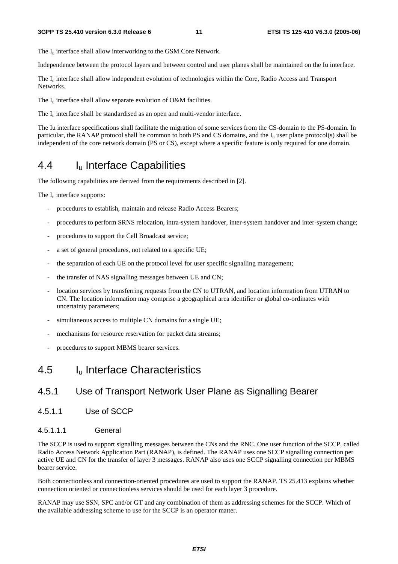The  $I_{\text{u}}$  interface shall allow interworking to the GSM Core Network.

Independence between the protocol layers and between control and user planes shall be maintained on the Iu interface.

The I<sub>u</sub> interface shall allow independent evolution of technologies within the Core, Radio Access and Transport Networks.

The  $I_u$  interface shall allow separate evolution of O&M facilities.

The  $I_{\text{u}}$  interface shall be standardised as an open and multi-vendor interface.

The Iu interface specifications shall facilitate the migration of some services from the CS-domain to the PS-domain. In particular, the RANAP protocol shall be common to both PS and CS domains, and the  $I<sub>u</sub>$  user plane protocol(s) shall be independent of the core network domain (PS or CS), except where a specific feature is only required for one domain.

### 4.4 Iu Interface Capabilities

The following capabilities are derived from the requirements described in [2].

The  $I_{\text{u}}$  interface supports:

- procedures to establish, maintain and release Radio Access Bearers;
- procedures to perform SRNS relocation, intra-system handover, inter-system handover and inter-system change;
- procedures to support the Cell Broadcast service;
- a set of general procedures, not related to a specific UE;
- the separation of each UE on the protocol level for user specific signalling management;
- the transfer of NAS signalling messages between UE and CN;
- location services by transferring requests from the CN to UTRAN, and location information from UTRAN to CN. The location information may comprise a geographical area identifier or global co-ordinates with uncertainty parameters;
- simultaneous access to multiple CN domains for a single UE;
- mechanisms for resource reservation for packet data streams;
- procedures to support MBMS bearer services.

### 4.5 Iu Interface Characteristics

#### 4.5.1 Use of Transport Network User Plane as Signalling Bearer

4.5.1.1 Use of SCCP

#### 4.5.1.1.1 General

The SCCP is used to support signalling messages between the CNs and the RNC. One user function of the SCCP, called Radio Access Network Application Part (RANAP), is defined. The RANAP uses one SCCP signalling connection per active UE and CN for the transfer of layer 3 messages. RANAP also uses one SCCP signalling connection per MBMS bearer service.

Both connectionless and connection-oriented procedures are used to support the RANAP. TS 25.413 explains whether connection oriented or connectionless services should be used for each layer 3 procedure.

RANAP may use SSN, SPC and/or GT and any combination of them as addressing schemes for the SCCP. Which of the available addressing scheme to use for the SCCP is an operator matter.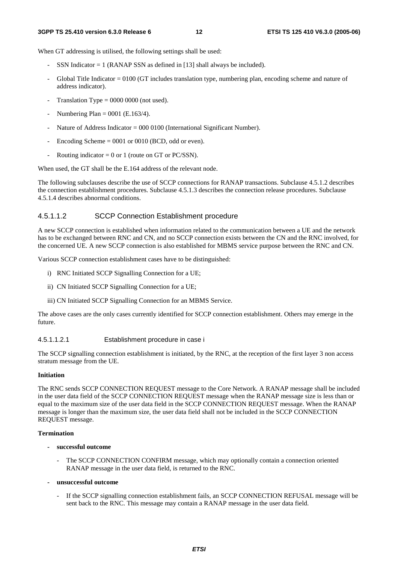When GT addressing is utilised, the following settings shall be used:

- SSN Indicator  $= 1$  (RANAP SSN as defined in [13] shall always be included).
- Global Title Indicator  $= 0100$  (GT includes translation type, numbering plan, encoding scheme and nature of address indicator).
- Translation Type =  $0000 0000$  (not used).
- Numbering Plan =  $0001$  (E.163/4).
- Nature of Address Indicator = 000 0100 (International Significant Number).
- Encoding Scheme  $= 0001$  or 0010 (BCD, odd or even).
- Routing indicator = 0 or 1 (route on GT or PC/SSN).

When used, the GT shall be the E.164 address of the relevant node.

The following subclauses describe the use of SCCP connections for RANAP transactions. Subclause 4.5.1.2 describes the connection establishment procedures. Subclause 4.5.1.3 describes the connection release procedures. Subclause 4.5.1.4 describes abnormal conditions.

#### 4.5.1.1.2 SCCP Connection Establishment procedure

A new SCCP connection is established when information related to the communication between a UE and the network has to be exchanged between RNC and CN, and no SCCP connection exists between the CN and the RNC involved, for the concerned UE. A new SCCP connection is also established for MBMS service purpose between the RNC and CN.

Various SCCP connection establishment cases have to be distinguished:

- i) RNC Initiated SCCP Signalling Connection for a UE;
- ii) CN Initiated SCCP Signalling Connection for a UE;
- iii) CN Initiated SCCP Signalling Connection for an MBMS Service.

The above cases are the only cases currently identified for SCCP connection establishment. Others may emerge in the future.

#### 4.5.1.1.2.1 Establishment procedure in case i

The SCCP signalling connection establishment is initiated, by the RNC, at the reception of the first layer 3 non access stratum message from the UE.

#### **Initiation**

The RNC sends SCCP CONNECTION REQUEST message to the Core Network. A RANAP message shall be included in the user data field of the SCCP CONNECTION REQUEST message when the RANAP message size is less than or equal to the maximum size of the user data field in the SCCP CONNECTION REQUEST message. When the RANAP message is longer than the maximum size, the user data field shall not be included in the SCCP CONNECTION REQUEST message.

#### **Termination**

- **successful outcome** 
	- The SCCP CONNECTION CONFIRM message, which may optionally contain a connection oriented RANAP message in the user data field, is returned to the RNC.
- **unsuccessful outcome** 
	- If the SCCP signalling connection establishment fails, an SCCP CONNECTION REFUSAL message will be sent back to the RNC. This message may contain a RANAP message in the user data field.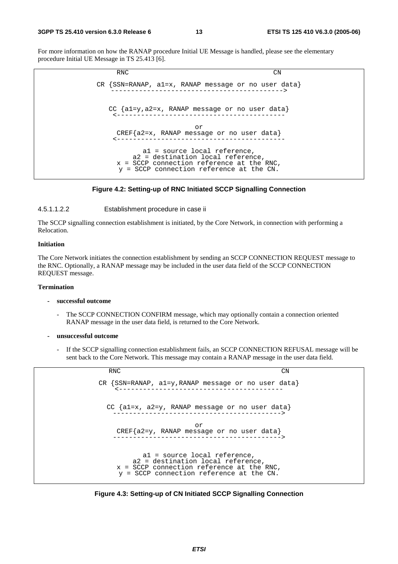#### **3GPP TS 25.410 version 6.3.0 Release 6 13 ETSI TS 125 410 V6.3.0 (2005-06)**

For more information on how the RANAP procedure Initial UE Message is handled, please see the elementary procedure Initial UE Message in TS 25.413 [6].



#### **Figure 4.2: Setting-up of RNC Initiated SCCP Signalling Connection**

#### 4.5.1.1.2.2 Establishment procedure in case ii

The SCCP signalling connection establishment is initiated, by the Core Network, in connection with performing a Relocation.

#### **Initiation**

The Core Network initiates the connection establishment by sending an SCCP CONNECTION REQUEST message to the RNC. Optionally, a RANAP message may be included in the user data field of the SCCP CONNECTION REQUEST message.

#### **Termination**

#### **- successful outcome**

- The SCCP CONNECTION CONFIRM message, which may optionally contain a connection oriented RANAP message in the user data field, is returned to the Core Network.
- **unsuccessful outcome** 
	- If the SCCP signalling connection establishment fails, an SCCP CONNECTION REFUSAL message will be sent back to the Core Network. This message may contain a RANAP message in the user data field.

| <b>RNC</b>                                                                                                                                                        | CΝ |
|-------------------------------------------------------------------------------------------------------------------------------------------------------------------|----|
| CR $\{SSN=RANAP, a1=y, RANAP message or no user data\}$                                                                                                           |    |
| CC $\{a1=x, a2=y, RANAP message or no user data\}$                                                                                                                |    |
| or<br>CREF{a2=y, RANAP message or no user data}                                                                                                                   |    |
| al = source local reference,<br>a2 = destination local reference,<br>$x = SCCP$ connection reference at the RNC,<br>$y = SCCP$ connection reference at the $CN$ . |    |

**Figure 4.3: Setting-up of CN Initiated SCCP Signalling Connection**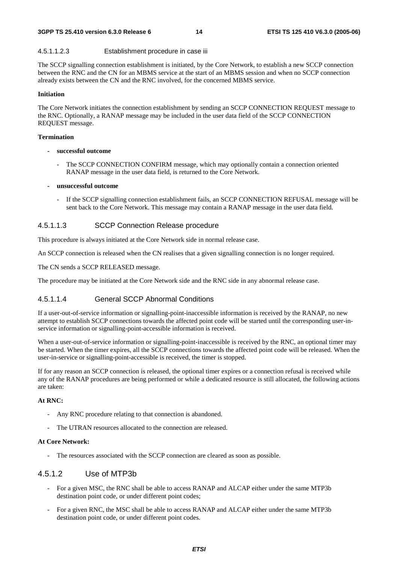#### 4.5.1.1.2.3 Establishment procedure in case iii

The SCCP signalling connection establishment is initiated, by the Core Network, to establish a new SCCP connection between the RNC and the CN for an MBMS service at the start of an MBMS session and when no SCCP connection already exists between the CN and the RNC involved, for the concerned MBMS service.

#### **Initiation**

The Core Network initiates the connection establishment by sending an SCCP CONNECTION REQUEST message to the RNC. Optionally, a RANAP message may be included in the user data field of the SCCP CONNECTION REQUEST message.

#### **Termination**

- **successful outcome** 
	- The SCCP CONNECTION CONFIRM message, which may optionally contain a connection oriented RANAP message in the user data field, is returned to the Core Network.
- **unsuccessful outcome** 
	- If the SCCP signalling connection establishment fails, an SCCP CONNECTION REFUSAL message will be sent back to the Core Network. This message may contain a RANAP message in the user data field.

#### 4.5.1.1.3 SCCP Connection Release procedure

This procedure is always initiated at the Core Network side in normal release case.

An SCCP connection is released when the CN realises that a given signalling connection is no longer required.

The CN sends a SCCP RELEASED message.

The procedure may be initiated at the Core Network side and the RNC side in any abnormal release case.

#### 4.5.1.1.4 General SCCP Abnormal Conditions

If a user-out-of-service information or signalling-point-inaccessible information is received by the RANAP, no new attempt to establish SCCP connections towards the affected point code will be started until the corresponding user-inservice information or signalling-point-accessible information is received.

When a user-out-of-service information or signalling-point-inaccessible is received by the RNC, an optional timer may be started. When the timer expires, all the SCCP connections towards the affected point code will be released. When the user-in-service or signalling-point-accessible is received, the timer is stopped.

If for any reason an SCCP connection is released, the optional timer expires or a connection refusal is received while any of the RANAP procedures are being performed or while a dedicated resource is still allocated, the following actions are taken:

#### **At RNC:**

- Any RNC procedure relating to that connection is abandoned.
- The UTRAN resources allocated to the connection are released.

#### **At Core Network:**

The resources associated with the SCCP connection are cleared as soon as possible.

#### 4.5.1.2 Use of MTP3b

- For a given MSC, the RNC shall be able to access RANAP and ALCAP either under the same MTP3b destination point code, or under different point codes;
- For a given RNC, the MSC shall be able to access RANAP and ALCAP either under the same MTP3b destination point code, or under different point codes.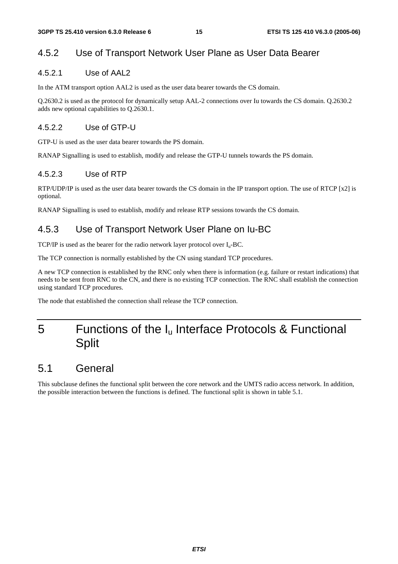#### 4.5.2 Use of Transport Network User Plane as User Data Bearer

#### 4.5.2.1 Use of AAL2

In the ATM transport option AAL2 is used as the user data bearer towards the CS domain.

Q.2630.2 is used as the protocol for dynamically setup AAL-2 connections over Iu towards the CS domain. Q.2630.2 adds new optional capabilities to Q.2630.1.

#### 4.5.2.2 Use of GTP-U

GTP-U is used as the user data bearer towards the PS domain.

RANAP Signalling is used to establish, modify and release the GTP-U tunnels towards the PS domain.

#### 4.5.2.3 Use of RTP

RTP/UDP/IP is used as the user data bearer towards the CS domain in the IP transport option. The use of RTCP [x2] is optional.

RANAP Signalling is used to establish, modify and release RTP sessions towards the CS domain.

#### 4.5.3 Use of Transport Network User Plane on Iu-BC

TCP/IP is used as the bearer for the radio network layer protocol over  $I_u$ -BC.

The TCP connection is normally established by the CN using standard TCP procedures.

A new TCP connection is established by the RNC only when there is information (e.g. failure or restart indications) that needs to be sent from RNC to the CN, and there is no existing TCP connection. The RNC shall establish the connection using standard TCP procedures.

The node that established the connection shall release the TCP connection.

## 5 Functions of the  $I_u$  Interface Protocols & Functional **Split**

### 5.1 General

This subclause defines the functional split between the core network and the UMTS radio access network. In addition, the possible interaction between the functions is defined. The functional split is shown in table 5.1.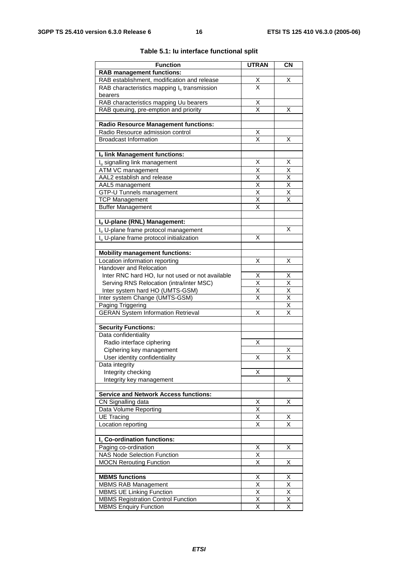| <b>Function</b>                                                                 | <b>UTRAN</b>                    | <b>CN</b>                       |
|---------------------------------------------------------------------------------|---------------------------------|---------------------------------|
| <b>RAB</b> management functions:                                                |                                 |                                 |
| RAB establishment, modification and release                                     | $\frac{\mathsf{X}}{\mathsf{X}}$ | х                               |
| RAB characteristics mapping $I_u$ transmission                                  |                                 |                                 |
| bearers                                                                         |                                 |                                 |
| RAB characteristics mapping Uu bearers<br>RAB queuing, pre-emption and priority | Χ<br>X                          | х                               |
|                                                                                 |                                 |                                 |
| <b>Radio Resource Management functions:</b>                                     |                                 |                                 |
| Radio Resource admission control                                                | $\overline{\mathsf{X}}$         |                                 |
| <b>Broadcast Information</b>                                                    | $\overline{\mathsf{x}}$         | х                               |
| Iu link Management functions:                                                   |                                 |                                 |
| I <sub>u</sub> signalling link management                                       | X                               | X                               |
| ATM VC management                                                               | Χ                               | Χ                               |
| AAL2 establish and release                                                      | X                               | $\overline{\mathsf{x}}$         |
| AAL5 management                                                                 | $\overline{\mathsf{x}}$         | $\overline{\mathsf{x}}$         |
| GTP-U Tunnels management                                                        | X                               | X                               |
| <b>TCP Management</b>                                                           | $\overline{\mathsf{x}}$         | $\overline{\mathsf{x}}$         |
| <b>Buffer Management</b>                                                        | X                               |                                 |
|                                                                                 |                                 |                                 |
| Iu U-plane (RNL) Management:                                                    |                                 |                                 |
| I <sub>u</sub> U-plane frame protocol management                                |                                 | X                               |
| I <sub>u</sub> U-plane frame protocol initialization                            | X                               |                                 |
| <b>Mobility management functions:</b>                                           |                                 |                                 |
| Location information reporting                                                  | Χ                               | х                               |
| Handover and Relocation                                                         |                                 |                                 |
| Inter RNC hard HO, lur not used or not available                                | х                               | х                               |
| Serving RNS Relocation (intra/inter MSC)                                        | $\overline{\mathsf{x}}$         | $\overline{\mathsf{x}}$         |
| Inter system hard HO (UMTS-GSM)                                                 | X                               | $\overline{\mathsf{x}}$         |
| Inter system Change (UMTS-GSM)                                                  | Χ                               |                                 |
| Paging Triggering                                                               |                                 | $\frac{\mathsf{X}}{\mathsf{X}}$ |
| <b>GERAN System Information Retrieval</b>                                       | Χ                               | $\overline{\mathsf{x}}$         |
| <b>Security Functions:</b>                                                      |                                 |                                 |
| Data confidentiality                                                            |                                 |                                 |
| Radio interface ciphering                                                       | х                               |                                 |
| Ciphering key management                                                        |                                 | х                               |
| User identity confidentiality                                                   | х                               | х                               |
| Data integrity                                                                  |                                 |                                 |
| Integrity checking                                                              | Χ                               |                                 |
| Integrity key management                                                        |                                 | Χ                               |
|                                                                                 |                                 |                                 |
| <b>Service and Network Access functions:</b>                                    |                                 |                                 |
| CN Signalling data<br>Data Volume Reporting                                     | Χ<br>$\overline{\mathsf{x}}$    | X                               |
| <b>UE Tracing</b>                                                               | $\overline{\mathsf{x}}$         | х                               |
| Location reporting                                                              | Χ                               | X                               |
|                                                                                 |                                 |                                 |
| I <sub>u</sub> Co-ordination functions:                                         |                                 |                                 |
| Paging co-ordination                                                            | Χ                               | х                               |
| <b>NAS Node Selection Function</b>                                              | Χ                               |                                 |
| <b>MOCN Rerouting Function</b>                                                  | $\overline{\mathsf{x}}$         | Χ                               |
| <b>MBMS functions</b>                                                           |                                 |                                 |
| <b>MBMS RAB Management</b>                                                      | Х<br>$\overline{\mathsf{x}}$    | х<br>$\overline{\mathsf{x}}$    |
| <b>MBMS UE Linking Function</b>                                                 | $\overline{X}$                  | $\overline{X}$                  |
| <b>MBMS Registration Control Function</b>                                       | Χ                               | X                               |
| <b>MBMS Enquiry Function</b>                                                    | $\overline{\mathsf{x}}$         | X                               |
|                                                                                 |                                 |                                 |

#### **Table 5.1: Iu interface functional split**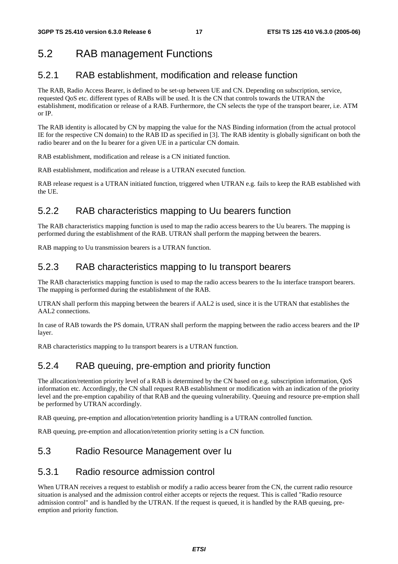## 5.2 RAB management Functions

### 5.2.1 RAB establishment, modification and release function

The RAB, Radio Access Bearer, is defined to be set-up between UE and CN. Depending on subscription, service, requested QoS etc. different types of RABs will be used. It is the CN that controls towards the UTRAN the establishment, modification or release of a RAB. Furthermore, the CN selects the type of the transport bearer, i.e. ATM or IP.

The RAB identity is allocated by CN by mapping the value for the NAS Binding information (from the actual protocol IE for the respective CN domain) to the RAB ID as specified in [3]. The RAB identity is globally significant on both the radio bearer and on the Iu bearer for a given UE in a particular CN domain.

RAB establishment, modification and release is a CN initiated function.

RAB establishment, modification and release is a UTRAN executed function.

RAB release request is a UTRAN initiated function, triggered when UTRAN e.g. fails to keep the RAB established with the UE.

### 5.2.2 RAB characteristics mapping to Uu bearers function

The RAB characteristics mapping function is used to map the radio access bearers to the Uu bearers. The mapping is performed during the establishment of the RAB. UTRAN shall perform the mapping between the bearers.

RAB mapping to Uu transmission bearers is a UTRAN function.

### 5.2.3 RAB characteristics mapping to Iu transport bearers

The RAB characteristics mapping function is used to map the radio access bearers to the Iu interface transport bearers. The mapping is performed during the establishment of the RAB.

UTRAN shall perform this mapping between the bearers if AAL2 is used, since it is the UTRAN that establishes the AAL2 connections.

In case of RAB towards the PS domain, UTRAN shall perform the mapping between the radio access bearers and the IP layer.

RAB characteristics mapping to Iu transport bearers is a UTRAN function.

### 5.2.4 RAB queuing, pre-emption and priority function

The allocation/retention priority level of a RAB is determined by the CN based on e.g. subscription information, QoS information etc. Accordingly, the CN shall request RAB establishment or modification with an indication of the priority level and the pre-emption capability of that RAB and the queuing vulnerability. Queuing and resource pre-emption shall be performed by UTRAN accordingly.

RAB queuing, pre-emption and allocation/retention priority handling is a UTRAN controlled function.

RAB queuing, pre-emption and allocation/retention priority setting is a CN function.

### 5.3 Radio Resource Management over Iu

#### 5.3.1 Radio resource admission control

When UTRAN receives a request to establish or modify a radio access bearer from the CN, the current radio resource situation is analysed and the admission control either accepts or rejects the request. This is called "Radio resource admission control" and is handled by the UTRAN. If the request is queued, it is handled by the RAB queuing, preemption and priority function.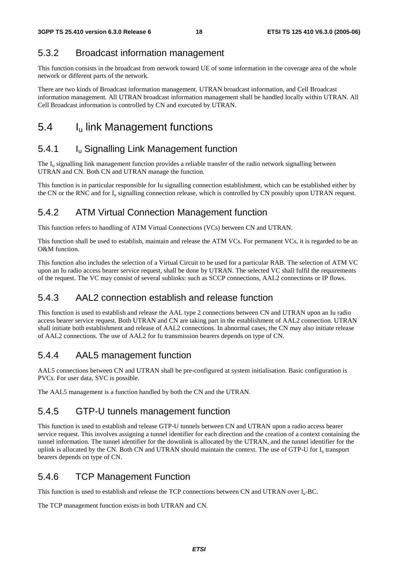### 5.3.2 Broadcast information management

This function consists in the broadcast from network toward UE of some information in the coverage area of the whole network or different parts of the network.

There are two kinds of Broadcast information management. UTRAN broadcast information, and Cell Broadcast information management. All UTRAN broadcast information management shall be handled locally within UTRAN. All Cell Broadcast information is controlled by CN and executed by UTRAN.

## 5.4 I<sub>u</sub> link Management functions

### 5.4.1 **I**<sub>u</sub> Signalling Link Management function

The I<sub>u</sub> signalling link management function provides a reliable transfer of the radio network signalling between UTRAN and CN. Both CN and UTRAN manage the function.

This function is in particular responsible for Iu signalling connection establishment, which can be established either by the CN or the RNC and for  $I_u$  signalling connection release, which is controlled by CN possibly upon UTRAN request.

### 5.4.2 ATM Virtual Connection Management function

This function refers to handling of ATM Virtual Connections (VCs) between CN and UTRAN.

This function shall be used to establish, maintain and release the ATM VCs. For permanent VCs, it is regarded to be an O&M function.

This function also includes the selection of a Virtual Circuit to be used for a particular RAB. The selection of ATM VC upon an Iu radio access bearer service request, shall be done by UTRAN. The selected VC shall fulfil the requirements of the request. The VC may consist of several sublinks: such as SCCP connections, AAL2 connections or IP flows.

### 5.4.3 AAL2 connection establish and release function

This function is used to establish and release the AAL type 2 connections between CN and UTRAN upon an Iu radio access bearer service request. Both UTRAN and CN are taking part in the establishment of AAL2 connection. UTRAN shall initiate both establishment and release of AAL2 connections. In abnormal cases, the CN may also initiate release of AAL2 connections. The use of AAL2 for Iu transmission bearers depends on type of CN.

### 5.4.4 AAL5 management function

AAL5 connections between CN and UTRAN shall be pre-configured at system initialisation. Basic configuration is PVCs. For user data, SVC is possible.

The AAL5 management is a function handled by both the CN and the UTRAN.

#### 5.4.5 GTP-U tunnels management function

This function is used to establish and release GTP-U tunnels between CN and UTRAN upon a radio access bearer service request. This involves assigning a tunnel identifier for each direction and the creation of a context containing the tunnel information. The tunnel identifier for the downlink is allocated by the UTRAN, and the tunnel identifier for the uplink is allocated by the CN. Both CN and UTRAN should maintain the context. The use of GTP-U for I<sub>u</sub> transport bearers depends on type of CN.

#### 5.4.6 TCP Management Function

This function is used to establish and release the TCP connections between CN and UTRAN over Iu-BC.

The TCP management function exists in both UTRAN and CN.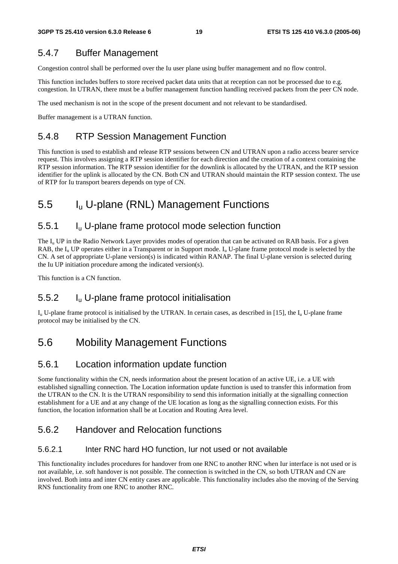#### 5.4.7 Buffer Management

Congestion control shall be performed over the Iu user plane using buffer management and no flow control.

This function includes buffers to store received packet data units that at reception can not be processed due to e.g. congestion. In UTRAN, there must be a buffer management function handling received packets from the peer CN node.

The used mechanism is not in the scope of the present document and not relevant to be standardised.

Buffer management is a UTRAN function.

#### 5.4.8 RTP Session Management Function

This function is used to establish and release RTP sessions between CN and UTRAN upon a radio access bearer service request. This involves assigning a RTP session identifier for each direction and the creation of a context containing the RTP session information. The RTP session identifier for the downlink is allocated by the UTRAN, and the RTP session identifier for the uplink is allocated by the CN. Both CN and UTRAN should maintain the RTP session context. The use of RTP for Iu transport bearers depends on type of CN.

### 5.5 Iu U-plane (RNL) Management Functions

#### 5.5.1 Iu U-plane frame protocol mode selection function

The  $I_{\rm u}$  UP in the Radio Network Layer provides modes of operation that can be activated on RAB basis. For a given RAB, the  $I_{\rm u}$  UP operates either in a Transparent or in Support mode.  $I_{\rm u}$  U-plane frame protocol mode is selected by the CN. A set of appropriate U-plane version(s) is indicated within RANAP. The final U-plane version is selected during the Iu UP initiation procedure among the indicated version(s).

This function is a CN function.

#### 5.5.2 Iu U-plane frame protocol initialisation

 $I_{u}$  U-plane frame protocol is initialised by the UTRAN. In certain cases, as described in [15], the  $I_{u}$  U-plane frame protocol may be initialised by the CN.

### 5.6 Mobility Management Functions

#### 5.6.1 Location information update function

Some functionality within the CN, needs information about the present location of an active UE, i.e. a UE with established signalling connection. The Location information update function is used to transfer this information from the UTRAN to the CN. It is the UTRAN responsibility to send this information initially at the signalling connection establishment for a UE and at any change of the UE location as long as the signalling connection exists. For this function, the location information shall be at Location and Routing Area level.

#### 5.6.2 Handover and Relocation functions

#### 5.6.2.1 Inter RNC hard HO function, Iur not used or not available

This functionality includes procedures for handover from one RNC to another RNC when Iur interface is not used or is not available, i.e. soft handover is not possible. The connection is switched in the CN, so both UTRAN and CN are involved. Both intra and inter CN entity cases are applicable. This functionality includes also the moving of the Serving RNS functionality from one RNC to another RNC.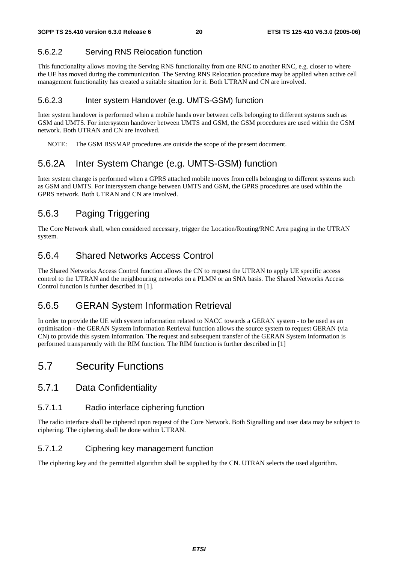### 5.6.2.2 Serving RNS Relocation function

This functionality allows moving the Serving RNS functionality from one RNC to another RNC, e.g. closer to where the UE has moved during the communication. The Serving RNS Relocation procedure may be applied when active cell management functionality has created a suitable situation for it. Both UTRAN and CN are involved.

#### 5.6.2.3 Inter system Handover (e.g. UMTS-GSM) function

Inter system handover is performed when a mobile hands over between cells belonging to different systems such as GSM and UMTS. For intersystem handover between UMTS and GSM, the GSM procedures are used within the GSM network. Both UTRAN and CN are involved.

NOTE: The GSM BSSMAP procedures are outside the scope of the present document.

## 5.6.2A Inter System Change (e.g. UMTS-GSM) function

Inter system change is performed when a GPRS attached mobile moves from cells belonging to different systems such as GSM and UMTS. For intersystem change between UMTS and GSM, the GPRS procedures are used within the GPRS network. Both UTRAN and CN are involved.

## 5.6.3 Paging Triggering

The Core Network shall, when considered necessary, trigger the Location/Routing/RNC Area paging in the UTRAN system.

### 5.6.4 Shared Networks Access Control

The Shared Networks Access Control function allows the CN to request the UTRAN to apply UE specific access control to the UTRAN and the neighbouring networks on a PLMN or an SNA basis. The Shared Networks Access Control function is further described in [1].

### 5.6.5 GERAN System Information Retrieval

In order to provide the UE with system information related to NACC towards a GERAN system - to be used as an optimisation - the GERAN System Information Retrieval function allows the source system to request GERAN (via CN) to provide this system information. The request and subsequent transfer of the GERAN System Information is performed transparently with the RIM function. The RIM function is further described in [1]

## 5.7 Security Functions

#### 5.7.1 Data Confidentiality

#### 5.7.1.1 Radio interface ciphering function

The radio interface shall be ciphered upon request of the Core Network. Both Signalling and user data may be subject to ciphering. The ciphering shall be done within UTRAN.

#### 5.7.1.2 Ciphering key management function

The ciphering key and the permitted algorithm shall be supplied by the CN. UTRAN selects the used algorithm.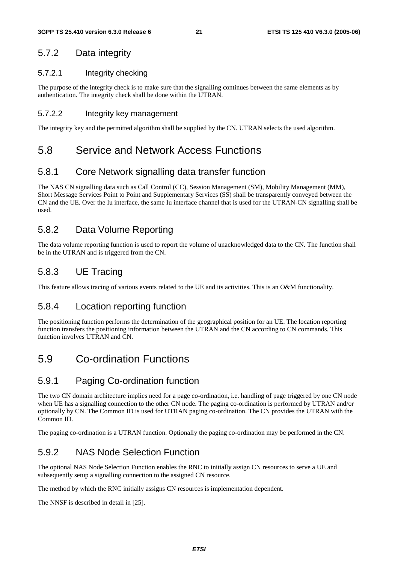### 5.7.2 Data integrity

#### 5.7.2.1 Integrity checking

The purpose of the integrity check is to make sure that the signalling continues between the same elements as by authentication. The integrity check shall be done within the UTRAN.

#### 5.7.2.2 Integrity key management

The integrity key and the permitted algorithm shall be supplied by the CN. UTRAN selects the used algorithm.

### 5.8 Service and Network Access Functions

### 5.8.1 Core Network signalling data transfer function

The NAS CN signalling data such as Call Control (CC), Session Management (SM), Mobility Management (MM), Short Message Services Point to Point and Supplementary Services (SS) shall be transparently conveyed between the CN and the UE. Over the Iu interface, the same Iu interface channel that is used for the UTRAN-CN signalling shall be used.

### 5.8.2 Data Volume Reporting

The data volume reporting function is used to report the volume of unacknowledged data to the CN. The function shall be in the UTRAN and is triggered from the CN.

### 5.8.3 UE Tracing

This feature allows tracing of various events related to the UE and its activities. This is an O&M functionality.

#### 5.8.4 Location reporting function

The positioning function performs the determination of the geographical position for an UE. The location reporting function transfers the positioning information between the UTRAN and the CN according to CN commands. This function involves UTRAN and CN.

## 5.9 Co-ordination Functions

### 5.9.1 Paging Co-ordination function

The two CN domain architecture implies need for a page co-ordination, i.e. handling of page triggered by one CN node when UE has a signalling connection to the other CN node. The paging co-ordination is performed by UTRAN and/or optionally by CN. The Common ID is used for UTRAN paging co-ordination. The CN provides the UTRAN with the Common ID.

The paging co-ordination is a UTRAN function. Optionally the paging co-ordination may be performed in the CN.

### 5.9.2 NAS Node Selection Function

The optional NAS Node Selection Function enables the RNC to initially assign CN resources to serve a UE and subsequently setup a signalling connection to the assigned CN resource.

The method by which the RNC initially assigns CN resources is implementation dependent.

The NNSF is described in detail in [25].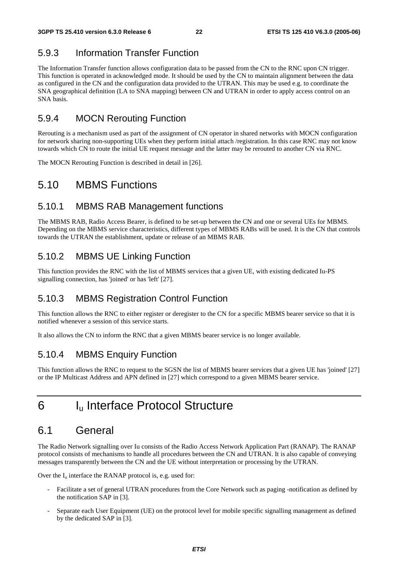### 5.9.3 Information Transfer Function

The Information Transfer function allows configuration data to be passed from the CN to the RNC upon CN trigger. This function is operated in acknowledged mode. It should be used by the CN to maintain alignment between the data as configured in the CN and the configuration data provided to the UTRAN. This may be used e.g. to coordinate the SNA geographical definition (LA to SNA mapping) between CN and UTRAN in order to apply access control on an SNA basis.

### 5.9.4 MOCN Rerouting Function

Rerouting is a mechanism used as part of the assignment of CN operator in shared networks with MOCN configuration for network sharing non-supporting UEs when they perform initial attach /registration. In this case RNC may not know towards which CN to route the initial UE request message and the latter may be rerouted to another CN via RNC.

The MOCN Rerouting Function is described in detail in [26].

## 5.10 MBMS Functions

### 5.10.1 MBMS RAB Management functions

The MBMS RAB, Radio Access Bearer, is defined to be set-up between the CN and one or several UEs for MBMS. Depending on the MBMS service characteristics, different types of MBMS RABs will be used. It is the CN that controls towards the UTRAN the establishment, update or release of an MBMS RAB.

### 5.10.2 MBMS UE Linking Function

This function provides the RNC with the list of MBMS services that a given UE, with existing dedicated Iu-PS signalling connection, has 'joined' or has 'left' [27].

### 5.10.3 MBMS Registration Control Function

This function allows the RNC to either register or deregister to the CN for a specific MBMS bearer service so that it is notified whenever a session of this service starts.

It also allows the CN to inform the RNC that a given MBMS bearer service is no longer available.

### 5.10.4 MBMS Enquiry Function

This function allows the RNC to request to the SGSN the list of MBMS bearer services that a given UE has 'joined' [27] or the IP Multicast Address and APN defined in [27] which correspond to a given MBMS bearer service.

## 6 Iu Interface Protocol Structure

## 6.1 General

The Radio Network signalling over Iu consists of the Radio Access Network Application Part (RANAP). The RANAP protocol consists of mechanisms to handle all procedures between the CN and UTRAN. It is also capable of conveying messages transparently between the CN and the UE without interpretation or processing by the UTRAN.

Over the  $I_u$  interface the RANAP protocol is, e.g. used for:

- Facilitate a set of general UTRAN procedures from the Core Network such as paging -notification as defined by the notification SAP in [3].
- Separate each User Equipment (UE) on the protocol level for mobile specific signalling management as defined by the dedicated SAP in [3].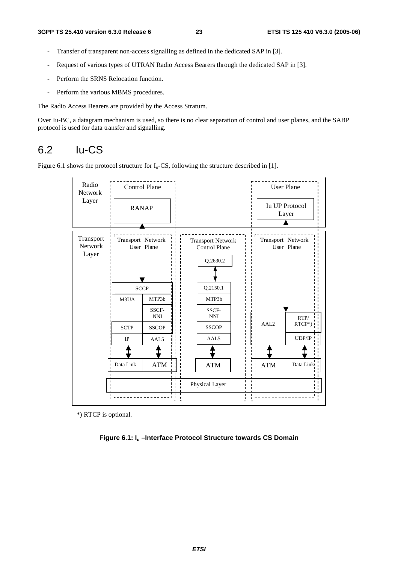- Transfer of transparent non-access signalling as defined in the dedicated SAP in [3].
- Request of various types of UTRAN Radio Access Bearers through the dedicated SAP in [3].
- Perform the SRNS Relocation function.
- Perform the various MBMS procedures.

The Radio Access Bearers are provided by the Access Stratum.

Over Iu-BC, a datagram mechanism is used, so there is no clear separation of control and user planes, and the SABP protocol is used for data transfer and signalling.

### 6.2 Iu-CS

Figure 6.1 shows the protocol structure for  $I_u$ -CS, following the structure described in [1].



\*) RTCP is optional.

**Figure 6.1: Iu –Interface Protocol Structure towards CS Domain**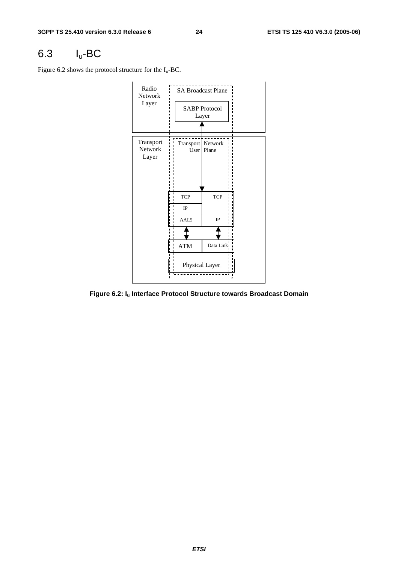## 6.3 Iu-BC

Figure 6.2 shows the protocol structure for the  $I_u$ -BC.



**Figure 6.2: Iu Interface Protocol Structure towards Broadcast Domain**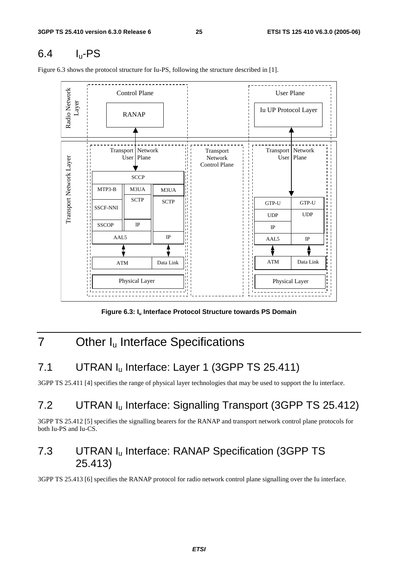## 6.4 Iu-PS

Figure 6.3 shows the protocol structure for Iu-PS, following the structure described in [1]. \_ \_ \_ \_ \_ \_ \_ \_ \_ \_ \_ \_ \_



Figure 6.3: I<sub>u</sub> Interface Protocol Structure towards PS Domain

## 7 Other I<sub>u</sub> Interface Specifications

## 7.1 UTRAN I<sub>u</sub> Interface: Layer 1 (3GPP TS 25.411)

3GPP TS 25.411 [4] specifies the range of physical layer technologies that may be used to support the Iu interface.

## 7.2 UTRAN Iu Interface: Signalling Transport (3GPP TS 25.412)

3GPP TS 25.412 [5] specifies the signalling bearers for the RANAP and transport network control plane protocols for both Iu-PS and Iu-CS.

## 7.3 UTRAN Iu Interface: RANAP Specification (3GPP TS 25.413)

3GPP TS 25.413 [6] specifies the RANAP protocol for radio network control plane signalling over the Iu interface.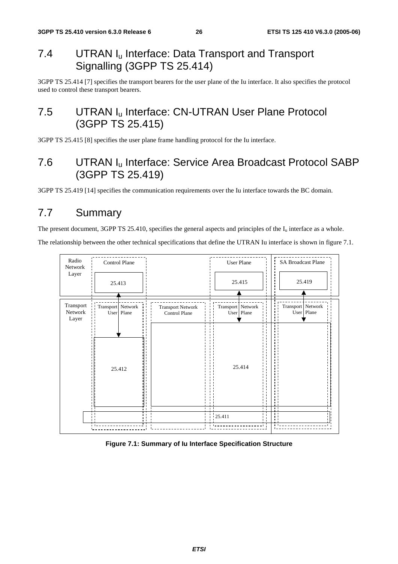## 7.4 UTRAN I<sub>u</sub> Interface: Data Transport and Transport Signalling (3GPP TS 25.414)

3GPP TS 25.414 [7] specifies the transport bearers for the user plane of the Iu interface. It also specifies the protocol used to control these transport bearers.

## 7.5 UTRAN I<sub>u</sub> Interface: CN-UTRAN User Plane Protocol (3GPP TS 25.415)

3GPP TS 25.415 [8] specifies the user plane frame handling protocol for the Iu interface.

## 7.6 UTRAN Iu Interface: Service Area Broadcast Protocol SABP (3GPP TS 25.419)

3GPP TS 25.419 [14] specifies the communication requirements over the Iu interface towards the BC domain.

## 7.7 Summary

The present document, 3GPP TS 25.410, specifies the general aspects and principles of the  $I_u$  interface as a whole.

The relationship between the other technical specifications that define the UTRAN Iu interface is shown in figure 7.1.



#### **Figure 7.1: Summary of Iu Interface Specification Structure**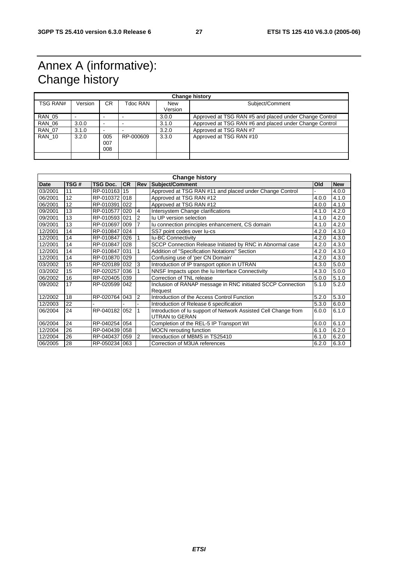## Annex A (informative): Change history

| <b>Change history</b> |         |                          |           |                       |                                                        |  |
|-----------------------|---------|--------------------------|-----------|-----------------------|--------------------------------------------------------|--|
| <b>TSG RAN#</b>       | Version | CR.                      | Tdoc RAN  | <b>New</b><br>Version | Subject/Comment                                        |  |
|                       |         |                          |           |                       |                                                        |  |
| <b>RAN 05</b>         |         |                          |           | 3.0.0                 | Approved at TSG RAN #5 and placed under Change Control |  |
| <b>RAN 06</b>         | 3.0.0   | $\overline{\phantom{a}}$ |           | 3.1.0                 | Approved at TSG RAN #6 and placed under Change Control |  |
| <b>RAN 07</b>         | 3.1.0   |                          |           | 3.2.0                 | Approved at TSG RAN #7                                 |  |
| <b>RAN 10</b>         | 3.2.0   | 005<br>007<br>008        | RP-000609 | 3.3.0                 | Approved at TSG RAN #10                                |  |
|                       |         |                          |           |                       |                                                        |  |

| <b>Change history</b> |      |                 |           |                |                                                                 |       |            |
|-----------------------|------|-----------------|-----------|----------------|-----------------------------------------------------------------|-------|------------|
| <b>Date</b>           | TSG# | <b>TSG Doc.</b> | <b>CR</b> | Rev            | Subject/Comment                                                 | Old   | <b>New</b> |
| 03/2001               | 11   | RP-010163       | 15        |                | Approved at TSG RAN #11 and placed under Change Control         |       | 4.0.0      |
| 06/2001               | 12   | RP-010372       | 018       |                | Approved at TSG RAN #12                                         | 4.0.0 | 4.1.0      |
| 06/2001               | 12   | RP-010391 022   |           |                | Approved at TSG RAN #12                                         | 4.0.0 | 4.1.0      |
| 09/2001               | 13   | RP-010577       | 020       | 4              | Intersystem Change clarifications                               | 4.1.0 | 4.2.0      |
| 09/2001               | 13   | RP-010593       | 021       | 2              | Iu UP version selection                                         | 4.1.0 | 4.2.0      |
| 09/2001               | 13   | RP-010697 009   |           | $\overline{7}$ | lu connection principles enhancement, CS domain                 | 4.1.0 | 4.2.0      |
| 12/2001               | 14   | RP-010847       | 024       |                | SS7 point codes over lu-cs                                      | 4.2.0 | 4.3.0      |
| 12/2001               | 14   | RP-010847       | 026       |                | <b>Iu-BC Connectivity</b>                                       | 4.2.0 | 4.3.0      |
| 12/2001               | 14   | RP-010847       | 028       |                | SCCP Connection Release Initiated by RNC in Abnormal case       | 4.2.0 | 4.3.0      |
| 12/2001               | 14   | RP-010847 031   |           |                | <b>Addition of "Specification Notations" Section</b>            | 4.2.0 | 4.3.0      |
| 12/2001               | 14   | RP-010870       | 029       |                | Confusing use of 'per CN Domain'                                | 4.2.0 | 4.3.0      |
| 03/2002               | 15   | RP-020189       | 032       | 3              | Introduction of IP transport option in UTRAN                    | 4.3.0 | 5.0.0      |
| 03/2002               | 15   | RP-020257       | 036       |                | NNSF Impacts upon the Iu Interface Connectivity                 | 4.3.0 | 5.0.0      |
| 06/2002               | 16   | RP-020405 039   |           |                | Correction of TNL release                                       | 5.0.0 | 5.1.0      |
| 09/2002               | 17   | RP-020599       | 042       |                | Inclusion of RANAP message in RNC initiated SCCP Connection     | 5.1.0 | 5.2.0      |
|                       |      |                 |           |                | Request                                                         |       |            |
| 12/2002               | 18   | RP-020764       | 043       | 2              | Introduction of the Access Control Function                     | 5.2.0 | 5.3.0      |
| 12/2003               | 22   |                 |           |                | Introduction of Release 6 specification                         | 5.3.0 | 6.0.0      |
| 06/2004               | 24   | RP-040182       | 052       | 1              | Introduction of Iu support of Network Assisted Cell Change from | 6.0.0 | 6.1.0      |
|                       |      |                 |           |                | <b>UTRAN to GERAN</b>                                           |       |            |
| 06/2004               | 24   | RP-040254       | 054       |                | Completion of the REL-5 IP Transport WI                         | 6.0.0 | 6.1.0      |
| 12/2004               | 26   | RP-040439       | 058       |                | <b>MOCN</b> rerouting function                                  | 6.1.0 | 6.2.0      |
| 12/2004               | 26   | RP-040437       | 059       | $\overline{2}$ | Introduction of MBMS in TS25410                                 | 6.1.0 | 6.2.0      |
| 06/2005               | 28   | RP-050234 063   |           |                | Correction of M3UA references                                   | 6.2.0 | 6.3.0      |